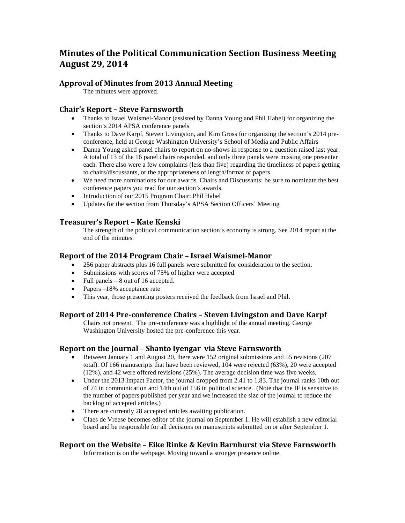# **Minutes of the Political Communication Section Business Meeting August 29, 2014**

# **Approval of Minutes from 2013 Annual Meeting**

The minutes were approved.

# **Chair's Report – Steve Farnsworth**

- Thanks to Israel Waismel-Manor (assisted by Danna Young and Phil Habel) for organizing the section's 2014 APSA conference panels
- Thanks to Dave Karpf, Steven Livingston, and Kim Gross for organizing the section's 2014 preconference, held at George Washington University's School of Media and Public Affairs
- Danna Young asked panel chairs to report on no-shows in response to a question raised last year. A total of 13 of the 16 panel chairs responded, and only three panels were missing one presenter each. There also were a few complaints (less than five) regarding the timeliness of papers getting to chairs/discussants, or the appropriateness of length/format of papers.
- We need more nominations for our awards. Chairs and Discussants: be sure to nominate the best conference papers you read for our section's awards.
- Introduction of our 2015 Program Chair: Phil Habel
- Updates for the section from Thursday's APSA Section Officers' Meeting

# **Treasurer's Report – Kate Kenski**

The strength of the political communication section's economy is strong. See 2014 report at the end of the minutes.

## **Report of the 2014 Program Chair – Israel Waismel-Manor**

- 256 paper abstracts plus 16 full panels were submitted for consideration to the section.
- Submissions with scores of 75% of higher were accepted.
- Full panels 8 out of 16 accepted.
- Papers –18% acceptance rate
- This year, those presenting posters received the feedback from Israel and Phil.

# **Report of 2014 Pre-conference Chairs – Steven Livingston and Dave Karpf**

Chairs not present. The pre-conference was a highlight of the annual meeting. George Washington University hosted the pre-conference this year.

# **Report on the Journal – Shanto Iyengar via Steve Farnsworth**

- Between January 1 and August 20, there were 152 original submissions and 55 revisions (207 total). Of 166 manuscripts that have been reviewed, 104 were rejected (63%), 20 were accepted (12%), and 42 were offered revisions (25%). The average decision time was five weeks.
- Under the 2013 Impact Factor, the journal dropped from 2.41 to 1.83. The journal ranks 10th out of 74 in communication and 14th out of 156 in political science. (Note that the IF is sensitive to the number of papers published per year and we increased the size of the journal to reduce the backlog of accepted articles.)
- There are currently 28 accepted articles awaiting publication.
- Claes de Vreese becomes editor of the journal on September 1. He will establish a new editorial board and be responsible for all decisions on manuscripts submitted on or after September 1.

# **Report on the Website – Eike Rinke & Kevin Barnhurst via Steve Farnsworth**

Information is on the webpage. Moving toward a stronger presence online.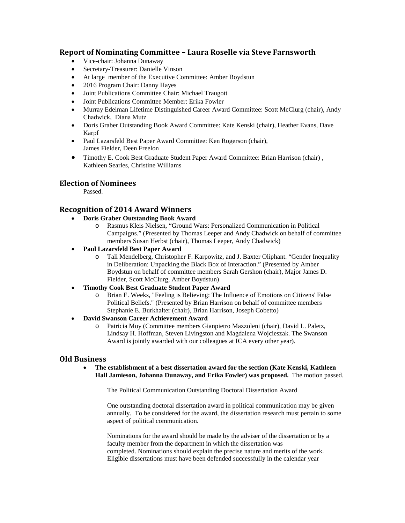### **Report of Nominating Committee – Laura Roselle via Steve Farnsworth**

- Vice-chair: Johanna Dunaway
- Secretary-Treasurer: Danielle Vinson
- At large member of the Executive Committee: Amber Boydstun
- 2016 Program Chair: Danny Hayes
- Joint Publications Committee Chair: Michael Traugott
- Joint Publications Committee Member: Erika Fowler
- Murray Edelman Lifetime Distinguished Career Award Committee: Scott McClurg (chair), Andy Chadwick, Diana Mutz
- Doris Graber Outstanding Book Award Committee: Kate Kenski (chair), Heather Evans, Dave Karpf
- Paul Lazarsfeld Best Paper Award Committee: Ken Rogerson (chair), James Fielder, Deen Freelon
- Timothy E. Cook Best Graduate Student Paper Award Committee: Brian Harrison (chair), Kathleen Searles, Christine Williams

## **Election of Nominees**

Passed.

# **Recognition of 2014 Award Winners**

- **Doris Graber Outstanding Book Award**
	- o Rasmus Kleis Nielsen, "Ground Wars: Personalized Communication in Political Campaigns." (Presented by Thomas Leeper and Andy Chadwick on behalf of committee members Susan Herbst (chair), Thomas Leeper, Andy Chadwick)
- **Paul Lazarsfeld Best Paper Award**
	- o Tali Mendelberg, Christopher F. Karpowitz, and J. Baxter Oliphant. "Gender Inequality in Deliberation: Unpacking the Black Box of Interaction." (Presented by Amber Boydstun on behalf of committee members Sarah Gershon (chair), Major James D. Fielder, Scott McClurg, Amber Boydstun)
- **Timothy Cook Best Graduate Student Paper Award**
	- o Brian E. Weeks, "Feeling is Believing: The Influence of Emotions on Citizens' False Political Beliefs." (Presented by Brian Harrison on behalf of committee members Stephanie E. Burkhalter (chair), Brian Harrison, Joseph Cobetto)
- **David Swanson Career Achievement Award** 
	- o Patricia Moy (Committee members Gianpietro Mazzoleni (chair), David L. Paletz, Lindsay H. Hoffman, Steven Livingston and Magdalena Wojcieszak. The Swanson Award is jointly awarded with our colleagues at ICA every other year).

#### **Old Business**

• **The establishment of a best dissertation award for the section (Kate Kenski, Kathleen Hall Jamieson, Johanna Dunaway, and Erika Fowler) was proposed.** The motion passed.

The Political Communication Outstanding Doctoral Dissertation Award

One outstanding doctoral dissertation award in political communication may be given annually. To be considered for the award, the dissertation research must pertain to some aspect of political communication.

Nominations for the award should be made by the adviser of the dissertation or by a faculty member from the department in which the dissertation was completed. Nominations should explain the precise nature and merits of the work. Eligible dissertations must have been defended successfully in the calendar year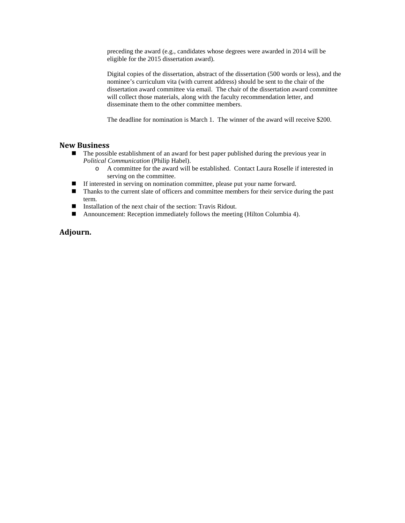preceding the award (e.g., candidates whose degrees were awarded in 2014 will be eligible for the 2015 dissertation award).

Digital copies of the dissertation, abstract of the dissertation (500 words or less), and the nominee's curriculum vita (with current address) should be sent to the chair of the dissertation award committee via email. The chair of the dissertation award committee will collect those materials, along with the faculty recommendation letter, and disseminate them to the other committee members.

The deadline for nomination is March 1. The winner of the award will receive \$200.

## **New Business**

- The possible establishment of an award for best paper published during the previous year in *Political Communication* (Philip Habel).
	- o A committee for the award will be established. Contact Laura Roselle if interested in serving on the committee.
- If interested in serving on nomination committee, please put your name forward.
- Thanks to the current slate of officers and committee members for their service during the past term.
- Installation of the next chair of the section: Travis Ridout.
- Announcement: Reception immediately follows the meeting (Hilton Columbia 4).

#### **Adjourn.**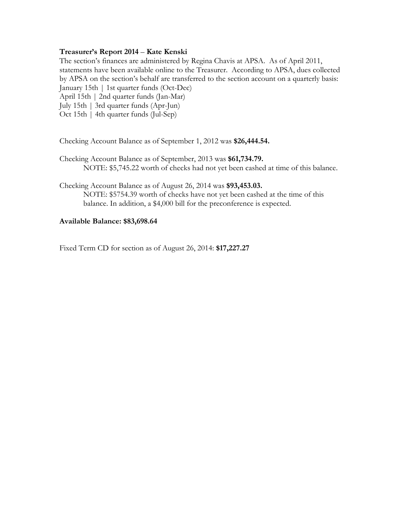## **Treasurer's Report 2014** – **Kate Kenski**

The section's finances are administered by Regina Chavis at APSA. As of April 2011, statements have been available online to the Treasurer. According to APSA, dues collected by APSA on the section's behalf are transferred to the section account on a quarterly basis: January 15th | 1st quarter funds (Oct-Dec)

April 15th | 2nd quarter funds (Jan-Mar)

July 15th | 3rd quarter funds (Apr-Jun)

Oct 15th | 4th quarter funds (Jul-Sep)

Checking Account Balance as of September 1, 2012 was **\$26,444.54.**

Checking Account Balance as of September, 2013 was **\$61,734.79.** NOTE: \$5,745.22 worth of checks had not yet been cashed at time of this balance.

Checking Account Balance as of August 26, 2014 was **\$93,453.03.** NOTE: \$5754.39 worth of checks have not yet been cashed at the time of this balance. In addition, a \$4,000 bill for the preconference is expected.

#### **Available Balance: \$83,698.64**

Fixed Term CD for section as of August 26, 2014: **\$17,227.27**